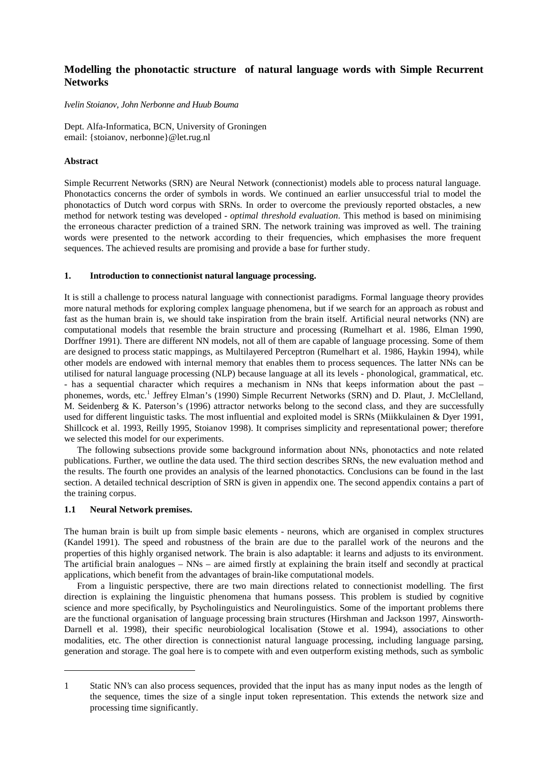# **Modelling the phonotactic structure of natural language words with Simple Recurrent Networks**

## *Ivelin Stoianov, John Nerbonne and Huub Bouma*

Dept. Alfa-Informatica, BCN, University of Groningen email: {stoianov, nerbonne}@let.rug.nl

# **Abstract**

Simple Recurrent Networks (SRN) are Neural Network (connectionist) models able to process natural language. Phonotactics concerns the order of symbols in words. We continued an earlier unsuccessful trial to model the phonotactics of Dutch word corpus with SRNs. In order to overcome the previously reported obstacles, a new method for network testing was developed - *optimal threshold evaluation*. This method is based on minimising the erroneous character prediction of a trained SRN. The network training was improved as well. The training words were presented to the network according to their frequencies, which emphasises the more frequent sequences. The achieved results are promising and provide a base for further study.

# **1. Introduction to connectionist natural language processing.**

It is still a challenge to process natural language with connectionist paradigms. Formal language theory provides more natural methods for exploring complex language phenomena, but if we search for an approach as robust and fast as the human brain is, we should take inspiration from the brain itself. Artificial neural networks (NN) are computational models that resemble the brain structure and processing (Rumelhart et al. 1986, Elman 1990, Dorffner 1991). There are different NN models, not all of them are capable of language processing. Some of them are designed to process static mappings, as Multilayered Perceptron (Rumelhart et al. 1986, Haykin 1994), while other models are endowed with internal memory that enables them to process sequences. The latter NNs can be utilised for natural language processing (NLP) because language at all its levels - phonological, grammatical, etc. - has a sequential character which requires a mechanism in NNs that keeps information about the past – phonemes, words, etc.<sup>1</sup> Jeffrey Elman's (1990) Simple Recurrent Networks (SRN) and D. Plaut, J. McClelland, M. Seidenberg & K. Paterson's (1996) attractor networks belong to the second class, and they are successfully used for different linguistic tasks. The most influential and exploited model is SRNs (Miikkulainen & Dyer 1991, Shillcock et al. 1993, Reilly 1995, Stoianov 1998). It comprises simplicity and representational power; therefore we selected this model for our experiments.

The following subsections provide some background information about NNs, phonotactics and note related publications. Further, we outline the data used. The third section describes SRNs, the new evaluation method and the results. The fourth one provides an analysis of the learned phonotactics. Conclusions can be found in the last section. A detailed technical description of SRN is given in appendix one. The second appendix contains a part of the training corpus.

# **1.1 Neural Network premises.**

-

The human brain is built up from simple basic elements - neurons, which are organised in complex structures (Kandel 1991). The speed and robustness of the brain are due to the parallel work of the neurons and the properties of this highly organised network. The brain is also adaptable: it learns and adjusts to its environment. The artificial brain analogues – NNs – are aimed firstly at explaining the brain itself and secondly at practical applications, which benefit from the advantages of brain-like computational models.

From a linguistic perspective, there are two main directions related to connectionist modelling. The first direction is explaining the linguistic phenomena that humans possess. This problem is studied by cognitive science and more specifically, by Psycholinguistics and Neurolinguistics. Some of the important problems there are the functional organisation of language processing brain structures (Hirshman and Jackson 1997, Ainsworth-Darnell et al. 1998), their specific neurobiological localisation (Stowe et al. 1994), associations to other modalities, etc. The other direction is connectionist natural language processing, including language parsing, generation and storage. The goal here is to compete with and even outperform existing methods, such as symbolic

<sup>1</sup> Static NN's can also process sequences, provided that the input has as many input nodes as the length of the sequence, times the size of a single input token representation. This extends the network size and processing time significantly.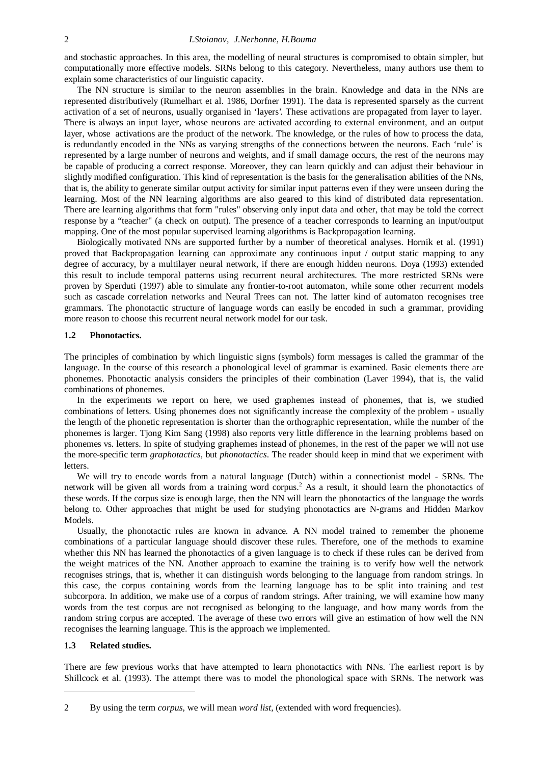and stochastic approaches. In this area, the modelling of neural structures is compromised to obtain simpler, but computationally more effective models. SRNs belong to this category. Nevertheless, many authors use them to explain some characteristics of our linguistic capacity.

The NN structure is similar to the neuron assemblies in the brain. Knowledge and data in the NNs are represented distributively (Rumelhart et al. 1986, Dorfner 1991). The data is represented sparsely as the current activation of a set of neurons, usually organised in 'layers'. These activations are propagated from layer to layer. There is always an input layer, whose neurons are activated according to external environment, and an output layer, whose activations are the product of the network. The knowledge, or the rules of how to process the data, is redundantly encoded in the NNs as varying strengths of the connections between the neurons. Each 'rule' is represented by a large number of neurons and weights, and if small damage occurs, the rest of the neurons may be capable of producing a correct response. Moreover, they can learn quickly and can adjust their behaviour in slightly modified configuration. This kind of representation is the basis for the generalisation abilities of the NNs, that is, the ability to generate similar output activity for similar input patterns even if they were unseen during the learning. Most of the NN learning algorithms are also geared to this kind of distributed data representation. There are learning algorithms that form "rules" observing only input data and other, that may be told the correct response by a "teacher" (a check on output). The presence of a teacher corresponds to learning an input/output mapping. One of the most popular supervised learning algorithms is Backpropagation learning.

Biologically motivated NNs are supported further by a number of theoretical analyses. Hornik et al. (1991) proved that Backpropagation learning can approximate any continuous input / output static mapping to any degree of accuracy, by a multilayer neural network, if there are enough hidden neurons. Doya (1993) extended this result to include temporal patterns using recurrent neural architectures. The more restricted SRNs were proven by Sperduti (1997) able to simulate any frontier-to-root automaton, while some other recurrent models such as cascade correlation networks and Neural Trees can not. The latter kind of automaton recognises tree grammars. The phonotactic structure of language words can easily be encoded in such a grammar, providing more reason to choose this recurrent neural network model for our task.

## **1.2 Phonotactics.**

The principles of combination by which linguistic signs (symbols) form messages is called the grammar of the language. In the course of this research a phonological level of grammar is examined. Basic elements there are phonemes. Phonotactic analysis considers the principles of their combination (Laver 1994), that is, the valid combinations of phonemes.

In the experiments we report on here, we used graphemes instead of phonemes, that is, we studied combinations of letters. Using phonemes does not significantly increase the complexity of the problem - usually the length of the phonetic representation is shorter than the orthographic representation, while the number of the phonemes is larger. Tjong Kim Sang (1998) also reports very little difference in the learning problems based on phonemes vs. letters. In spite of studying graphemes instead of phonemes, in the rest of the paper we will not use the more-specific term *graphotactics*, but *phonotactics*. The reader should keep in mind that we experiment with letters.

We will try to encode words from a natural language (Dutch) within a connectionist model - SRNs. The network will be given all words from a training word corpus.<sup>2</sup> As a result, it should learn the phonotactics of these words. If the corpus size is enough large, then the NN will learn the phonotactics of the language the words belong to. Other approaches that might be used for studying phonotactics are N-grams and Hidden Markov Models.

Usually, the phonotactic rules are known in advance. A NN model trained to remember the phoneme combinations of a particular language should discover these rules. Therefore, one of the methods to examine whether this NN has learned the phonotactics of a given language is to check if these rules can be derived from the weight matrices of the NN. Another approach to examine the training is to verify how well the network recognises strings, that is, whether it can distinguish words belonging to the language from random strings. In this case, the corpus containing words from the learning language has to be split into training and test subcorpora. In addition, we make use of a corpus of random strings. After training, we will examine how many words from the test corpus are not recognised as belonging to the language, and how many words from the random string corpus are accepted. The average of these two errors will give an estimation of how well the NN recognises the learning language. This is the approach we implemented.

#### **1.3 Related studies.**

-

There are few previous works that have attempted to learn phonotactics with NNs. The earliest report is by Shillcock et al. (1993). The attempt there was to model the phonological space with SRNs. The network was

<sup>2</sup> By using the term *corpus*, we will mean *word list*, (extended with word frequencies).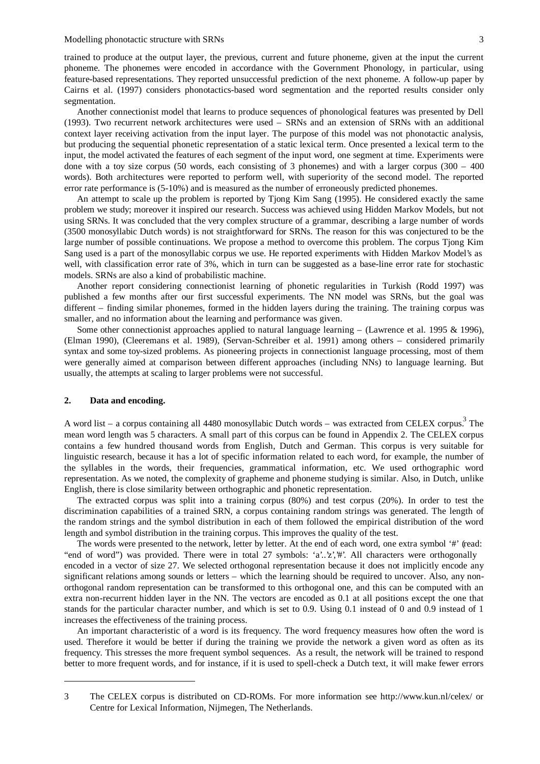trained to produce at the output layer, the previous, current and future phoneme, given at the input the current phoneme. The phonemes were encoded in accordance with the Government Phonology, in particular, using feature-based representations. They reported unsuccessful prediction of the next phoneme. A follow-up paper by Cairns et al. (1997) considers phonotactics-based word segmentation and the reported results consider only segmentation.

Another connectionist model that learns to produce sequences of phonological features was presented by Dell (1993). Two recurrent network architectures were used – SRNs and an extension of SRNs with an additional context layer receiving activation from the input layer. The purpose of this model was not phonotactic analysis, but producing the sequential phonetic representation of a static lexical term. Once presented a lexical term to the input, the model activated the features of each segment of the input word, one segment at time. Experiments were done with a toy size corpus (50 words, each consisting of 3 phonemes) and with a larger corpus  $(300 - 400)$ words). Both architectures were reported to perform well, with superiority of the second model. The reported error rate performance is (5-10%) and is measured as the number of erroneously predicted phonemes.

An attempt to scale up the problem is reported by Tjong Kim Sang (1995). He considered exactly the same problem we study; moreover it inspired our research. Success was achieved using Hidden Markov Models, but not using SRNs. It was concluded that the very complex structure of a grammar, describing a large number of words (3500 monosyllabic Dutch words) is not straightforward for SRNs. The reason for this was conjectured to be the large number of possible continuations. We propose a method to overcome this problem. The corpus Tjong Kim Sang used is a part of the monosyllabic corpus we use. He reported experiments with Hidden Markov Model's as well, with classification error rate of 3%, which in turn can be suggested as a base-line error rate for stochastic models. SRNs are also a kind of probabilistic machine.

Another report considering connectionist learning of phonetic regularities in Turkish (Rodd 1997) was published a few months after our first successful experiments. The NN model was SRNs, but the goal was different – finding similar phonemes, formed in the hidden layers during the training. The training corpus was smaller, and no information about the learning and performance was given.

Some other connectionist approaches applied to natural language learning – (Lawrence et al. 1995 & 1996), (Elman 1990), (Cleeremans et al. 1989), (Servan-Schreiber et al. 1991) among others – considered primarily syntax and some toy-sized problems. As pioneering projects in connectionist language processing, most of them were generally aimed at comparison between different approaches (including NNs) to language learning. But usually, the attempts at scaling to larger problems were not successful.

## **2. Data and encoding.**

-

A word list – a corpus containing all 4480 monosyllabic Dutch words – was extracted from CELEX corpus.<sup>3</sup> The mean word length was 5 characters. A small part of this corpus can be found in Appendix 2. The CELEX corpus contains a few hundred thousand words from English, Dutch and German. This corpus is very suitable for linguistic research, because it has a lot of specific information related to each word, for example, the number of the syllables in the words, their frequencies, grammatical information, etc. We used orthographic word representation. As we noted, the complexity of grapheme and phoneme studying is similar. Also, in Dutch, unlike English, there is close similarity between orthographic and phonetic representation.

The extracted corpus was split into a training corpus (80%) and test corpus (20%). In order to test the discrimination capabilities of a trained SRN, a corpus containing random strings was generated. The length of the random strings and the symbol distribution in each of them followed the empirical distribution of the word length and symbol distribution in the training corpus. This improves the quality of the test.

The words were presented to the network, letter by letter. At the end of each word, one extra symbol '#' (read: "end of word") was provided. There were in total 27 symbols: 'a'..'z','#'. All characters were orthogonally encoded in a vector of size 27. We selected orthogonal representation because it does not implicitly encode any significant relations among sounds or letters – which the learning should be required to uncover. Also, any nonorthogonal random representation can be transformed to this orthogonal one, and this can be computed with an extra non-recurrent hidden layer in the NN. The vectors are encoded as 0.1 at all positions except the one that stands for the particular character number, and which is set to 0.9. Using 0.1 instead of 0 and 0.9 instead of 1 increases the effectiveness of the training process.

An important characteristic of a word is its frequency. The word frequency measures how often the word is used. Therefore it would be better if during the training we provide the network a given word as often as its frequency. This stresses the more frequent symbol sequences. As a result, the network will be trained to respond better to more frequent words, and for instance, if it is used to spell-check a Dutch text, it will make fewer errors

<sup>3</sup> The CELEX corpus is distributed on CD-ROMs. For more information see http://www.kun.nl/celex/ or Centre for Lexical Information, Nijmegen, The Netherlands.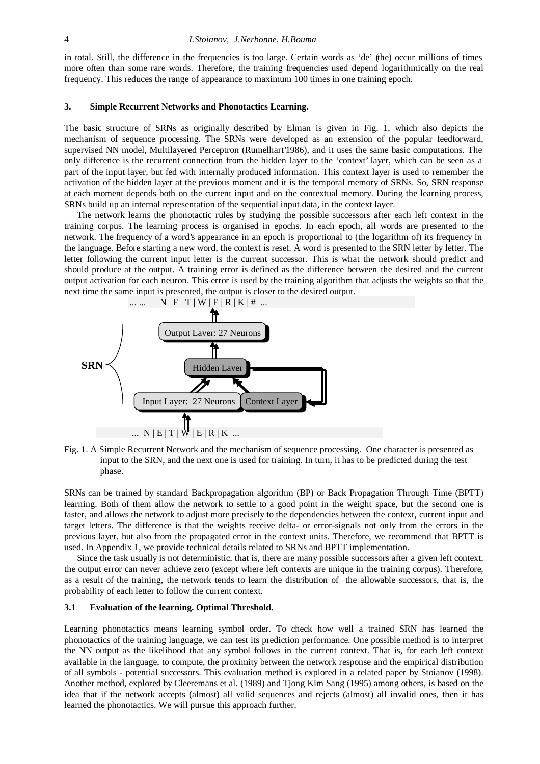in total. Still, the difference in the frequencies is too large. Certain words as 'de' (the) occur millions of times more often than some rare words. Therefore, the training frequencies used depend logarithmically on the real frequency. This reduces the range of appearance to maximum 100 times in one training epoch.

#### **3. Simple Recurrent Networks and Phonotactics Learning.**

The basic structure of SRNs as originally described by Elman is given in Fig. 1, which also depicts the mechanism of sequence processing. The SRNs were developed as an extension of the popular feedforward, supervised NN model, Multilayered Perceptron (Rumelhart'1986), and it uses the same basic computations. The only difference is the recurrent connection from the hidden layer to the 'context' layer, which can be seen as a part of the input layer, but fed with internally produced information. This context layer is used to remember the activation of the hidden layer at the previous moment and it is the temporal memory of SRNs. So, SRN response at each moment depends both on the current input and on the contextual memory. During the learning process, SRNs build up an internal representation of the sequential input data, in the context layer.

The network learns the phonotactic rules by studying the possible successors after each left context in the training corpus. The learning process is organised in epochs. In each epoch, all words are presented to the network. The frequency of a word's appearance in an epoch is proportional to (the logarithm of) its frequency in the language. Before starting a new word, the context is reset. A word is presented to the SRN letter by letter. The letter following the current input letter is the current successor. This is what the network should predict and should produce at the output. A training error is defined as the difference between the desired and the current output activation for each neuron. This error is used by the training algorithm that adjusts the weights so that the next time the same input is presented, the output is closer to the desired output.



Fig. 1. A Simple Recurrent Network and the mechanism of sequence processing. One character is presented as input to the SRN, and the next one is used for training. In turn, it has to be predicted during the test phase.

SRNs can be trained by standard Backpropagation algorithm (BP) or Back Propagation Through Time (BPTT) learning. Both of them allow the network to settle to a good point in the weight space, but the second one is faster, and allows the network to adjust more precisely to the dependencies between the context, current input and target letters. The difference is that the weights receive delta- or error-signals not only from the errors in the previous layer, but also from the propagated error in the context units. Therefore, we recommend that BPTT is used. In Appendix 1, we provide technical details related to SRNs and BPTT implementation.

Since the task usually is not deterministic, that is, there are many possible successors after a given left context, the output error can never achieve zero (except where left contexts are unique in the training corpus). Therefore, as a result of the training, the network tends to learn the distribution of the allowable successors, that is, the probability of each letter to follow the current context.

## **3.1 Evaluation of the learning. Optimal Threshold.**

Learning phonotactics means learning symbol order. To check how well a trained SRN has learned the phonotactics of the training language, we can test its prediction performance. One possible method is to interpret the NN output as the likelihood that any symbol follows in the current context. That is, for each left context available in the language, to compute, the proximity between the network response and the empirical distribution of all symbols - potential successors. This evaluation method is explored in a related paper by Stoianov (1998). Another method, explored by Cleeremans et al. (1989) and Tjong Kim Sang (1995) among others, is based on the idea that if the network accepts (almost) all valid sequences and rejects (almost) all invalid ones, then it has learned the phonotactics. We will pursue this approach further.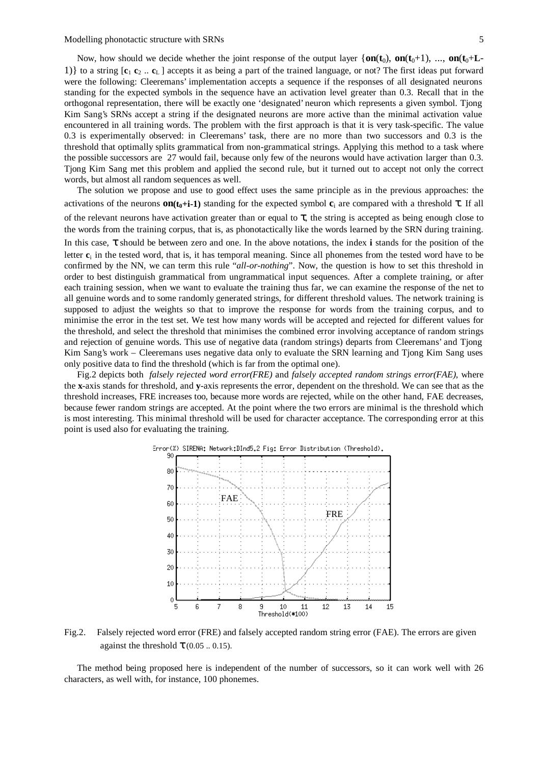Modelling phonotactic structure with SRNs 5

Now, how should we decide whether the joint response of the output layer  $\{\mathbf{on}(\mathbf{t}_0), \mathbf{on}(\mathbf{t}_0+1), \dots, \mathbf{on}(\mathbf{t}_0+L-\mathbf{t}_0)\}$ 1)} to a string [**c**<sup>1</sup> **c**<sup>2</sup> .. **c**L ] accepts it as being a part of the trained language, or not? The first ideas put forward were the following: Cleeremans' implementation accepts a sequence if the responses of all designated neurons standing for the expected symbols in the sequence have an activation level greater than 0.3. Recall that in the orthogonal representation, there will be exactly one 'designated' neuron which represents a given symbol. Tjong Kim Sang's SRNs accept a string if the designated neurons are more active than the minimal activation value encountered in all training words. The problem with the first approach is that it is very task-specific. The value 0.3 is experimentally observed: in Cleeremans' task, there are no more than two successors and 0.3 is the threshold that optimally splits grammatical from non-grammatical strings. Applying this method to a task where the possible successors are 27 would fail, because only few of the neurons would have activation larger than 0.3. Tjong Kim Sang met this problem and applied the second rule, but it turned out to accept not only the correct words, but almost all random sequences as well.

The solution we propose and use to good effect uses the same principle as in the previous approaches: the activations of the neurons  $\text{on}(\mathbf{t}_0 + \mathbf{i} - \mathbf{1})$  standing for the expected symbol  $\mathbf{c}_i$  are compared with a threshold  $\mathbf{\tau}$ . If all of the relevant neurons have activation greater than or equal to  $\tau$ , the string is accepted as being enough close to the words from the training corpus, that is, as phonotactically like the words learned by the SRN during training. In this case, τ should be between zero and one. In the above notations, the index **i** stands for the position of the letter **c**i in the tested word, that is, it has temporal meaning. Since all phonemes from the tested word have to be confirmed by the NN, we can term this rule "*all-or-nothing*". Now, the question is how to set this threshold in order to best distinguish grammatical from ungrammatical input sequences. After a complete training, or after each training session, when we want to evaluate the training thus far, we can examine the response of the net to all genuine words and to some randomly generated strings, for different threshold values. The network training is supposed to adjust the weights so that to improve the response for words from the training corpus, and to minimise the error in the test set. We test how many words will be accepted and rejected for different values for the threshold, and select the threshold that minimises the combined error involving acceptance of random strings and rejection of genuine words. This use of negative data (random strings) departs from Cleeremans' and Tjong Kim Sang's work – Cleeremans uses negative data only to evaluate the SRN learning and Tjong Kim Sang uses only positive data to find the threshold (which is far from the optimal one).

Fig.2 depicts both *falsely rejected word error(FRE)* and *falsely accepted random strings error(FAE)*, where the **x**-axis stands for threshold, and **y**-axis represents the error, dependent on the threshold. We can see that as the threshold increases, FRE increases too, because more words are rejected, while on the other hand, FAE decreases, because fewer random strings are accepted. At the point where the two errors are minimal is the threshold which is most interesting. This minimal threshold will be used for character acceptance. The corresponding error at this point is used also for evaluating the training.



Fig.2. Falsely rejected word error (FRE) and falsely accepted random string error (FAE). The errors are given against the threshold  $\tau$  (0.05 .. 0.15).

The method being proposed here is independent of the number of successors, so it can work well with 26 characters, as well with, for instance, 100 phonemes.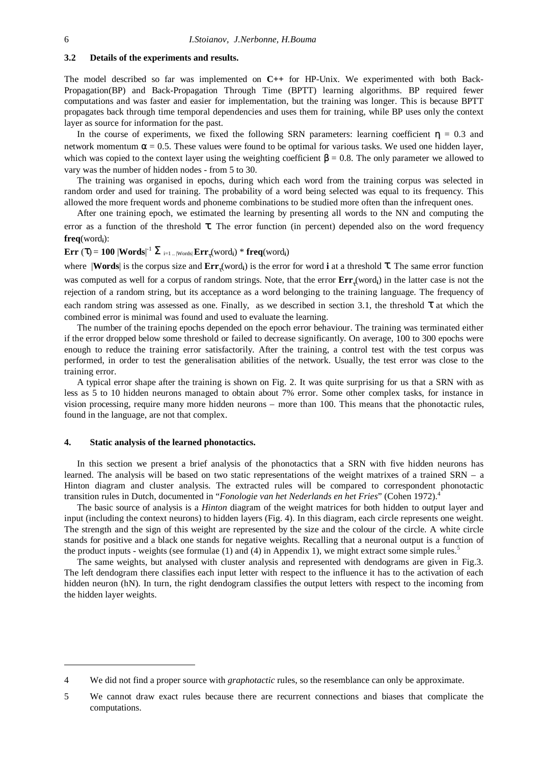#### **3.2 Details of the experiments and results.**

The model described so far was implemented on **C++** for HP-Unix. We experimented with both Back-Propagation(BP) and Back-Propagation Through Time (BPTT) learning algorithms. BP required fewer computations and was faster and easier for implementation, but the training was longer. This is because BPTT propagates back through time temporal dependencies and uses them for training, while BP uses only the context layer as source for information for the past.

In the course of experiments, we fixed the following SRN parameters: learning coefficient  $\eta = 0.3$  and network momentum  $\alpha = 0.5$ . These values were found to be optimal for various tasks. We used one hidden layer, which was copied to the context layer using the weighting coefficient  $\beta$  = 0.8. The only parameter we allowed to vary was the number of hidden nodes - from 5 to 30.

The training was organised in epochs, during which each word from the training corpus was selected in random order and used for training. The probability of a word being selected was equal to its frequency. This allowed the more frequent words and phoneme combinations to be studied more often than the infrequent ones.

After one training epoch, we estimated the learning by presenting all words to the NN and computing the error as a function of the threshold  $\tau$ . The error function (in percent) depended also on the word frequency **freq**(word**i**):

# $\mathbf{Err} \ (\tau) = \mathbf{100} \left| \mathbf{Words} \right|^{-1} \mathbf{\Sigma}_{\text{ i=1..} \left| \mathbf{Words} \right|} \mathbf{Err}_\tau (\text{word}_i) \ ^* \ \mathbf{freq} (\text{word}_i)$

where |**Words**| is the corpus size and **Err**<sub>τ</sub>(word<sub>i</sub>) is the error for word **i** at a threshold **τ**. The same error function was computed as well for a corpus of random strings. Note, that the error  $Err_r$  (word<sub>i</sub>) in the latter case is not the rejection of a random string, but its acceptance as a word belonging to the training language. The frequency of each random string was assessed as one. Finally, as we described in section 3.1, the threshold  $\tau$  at which the combined error is minimal was found and used to evaluate the learning.

The number of the training epochs depended on the epoch error behaviour. The training was terminated either if the error dropped below some threshold or failed to decrease significantly. On average, 100 to 300 epochs were enough to reduce the training error satisfactorily. After the training, a control test with the test corpus was performed, in order to test the generalisation abilities of the network. Usually, the test error was close to the training error.

A typical error shape after the training is shown on Fig. 2. It was quite surprising for us that a SRN with as less as 5 to 10 hidden neurons managed to obtain about 7% error. Some other complex tasks, for instance in vision processing, require many more hidden neurons – more than 100. This means that the phonotactic rules, found in the language, are not that complex.

## **4. Static analysis of the learned phonotactics.**

In this section we present a brief analysis of the phonotactics that a SRN with five hidden neurons has learned. The analysis will be based on two static representations of the weight matrixes of a trained SRN – a Hinton diagram and cluster analysis. The extracted rules will be compared to correspondent phonotactic transition rules in Dutch, documented in "*Fonologie van het Nederlands en het Fries*" (Cohen 1972).<sup>4</sup>

The basic source of analysis is a *Hinton* diagram of the weight matrices for both hidden to output layer and input (including the context neurons) to hidden layers (Fig. 4). In this diagram, each circle represents one weight. The strength and the sign of this weight are represented by the size and the colour of the circle. A white circle stands for positive and a black one stands for negative weights. Recalling that a neuronal output is a function of the product inputs - weights (see formulae (1) and (4) in Appendix 1), we might extract some simple rules.<sup>5</sup>

The same weights, but analysed with cluster analysis and represented with dendograms are given in Fig.3. The left dendogram there classifies each input letter with respect to the influence it has to the activation of each hidden neuron (hN). In turn, the right dendogram classifies the output letters with respect to the incoming from the hidden layer weights.

-

<sup>4</sup> We did not find a proper source with *graphotactic* rules, so the resemblance can only be approximate.

<sup>5</sup> We cannot draw exact rules because there are recurrent connections and biases that complicate the computations.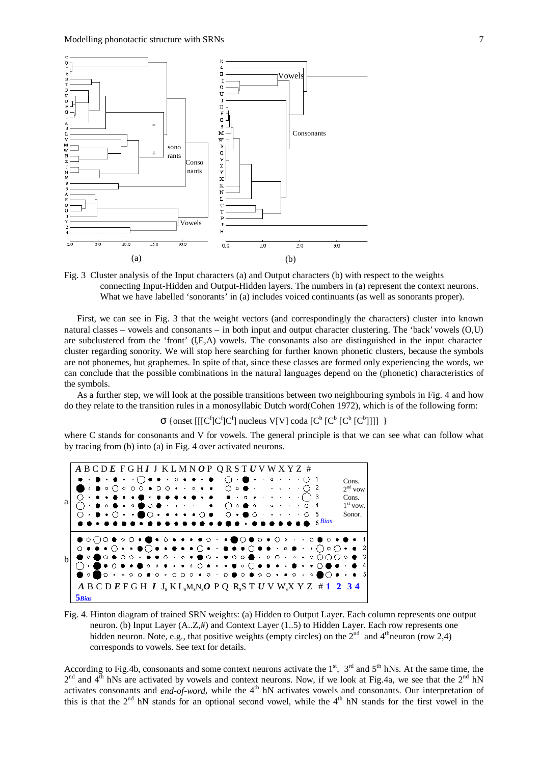

Fig. 3 Cluster analysis of the Input characters (a) and Output characters (b) with respect to the weights connecting Input-Hidden and Output-Hidden layers. The numbers in (a) represent the context neurons. What we have labelled 'sonorants' in (a) includes voiced continuants (as well as sonorants proper).

First, we can see in Fig. 3 that the weight vectors (and correspondingly the characters) cluster into known natural classes – vowels and consonants – in both input and output character clustering. The 'back' vowels (O,U) are subclustered from the 'front' (IE,A) vowels. The consonants also are distinguished in the input character cluster regarding sonority. We will stop here searching for further known phonetic clusters, because the symbols are not phonemes, but graphemes. In spite of that, since these classes are formed only experiencing the words, we can conclude that the possible combinations in the natural languages depend on the (phonetic) characteristics of the symbols.

As a further step, we will look at the possible transitions between two neighbouring symbols in Fig. 4 and how do they relate to the transition rules in a monosyllabic Dutch word(Cohen 1972), which is of the following form:

 $\sigma$  {onset [[[C<sup>f</sup>]C<sup>f</sup>]C<sup>f</sup>] nucleus V[V] coda [C<sup>b</sup> [C<sup>b</sup> [C<sup>b</sup> [C<sup>b</sup>]]]] }

where C stands for consonants and V for vowels. The general principle is that we can see what can follow what by tracing from (b) into (a) in Fig. 4 over activated neurons.



Fig. 4. Hinton diagram of trained SRN weights: (a) Hidden to Output Layer. Each column represents one output neuron. (b) Input Layer (A..Z,#) and Context Layer (1..5) to Hidden Layer. Each row represents one hidden neuron. Note, e.g., that positive weights (empty circles) on the  $2^{nd}$  and  $4^{th}$ neuron (row 2,4) corresponds to vowels. See text for details.

According to Fig.4b, consonants and some context neurons activate the  $1<sup>st</sup>$ ,  $3<sup>rd</sup>$  and  $5<sup>th</sup>$  hNs. At the same time, the  $2<sup>nd</sup>$  and 4<sup>th</sup> hNs are activated by vowels and context neurons. Now, if we look at Fig.4a, we see that the  $2<sup>nd</sup>$  hN activates consonants and *end-of-word*, while the 4<sup>th</sup> hN activates vowels and consonants. Our interpretation of this is that the  $2<sup>nd</sup>$  hN stands for an optional second vowel, while the  $4<sup>th</sup>$  hN stands for the first vowel in the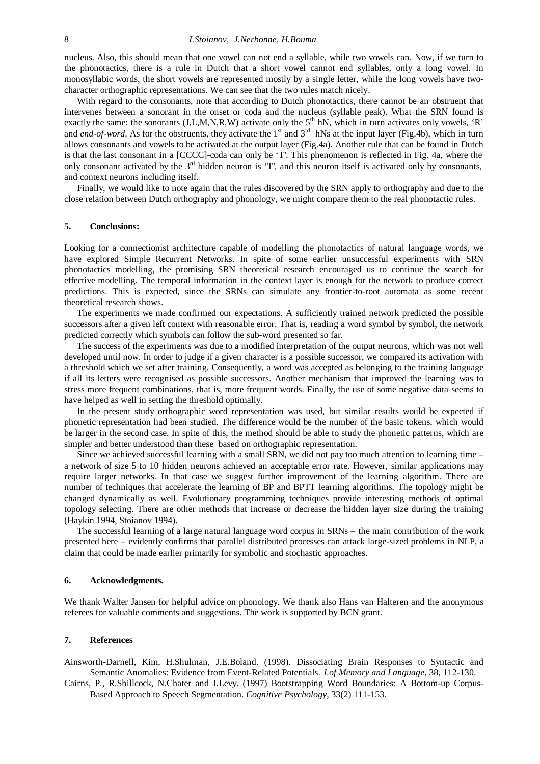nucleus. Also, this should mean that one vowel can not end a syllable, while two vowels can. Now, if we turn to the phonotactics, there is a rule in Dutch that a short vowel cannot end syllables, only a long vowel. In monosyllabic words, the short vowels are represented mostly by a single letter, while the long vowels have twocharacter orthographic representations. We can see that the two rules match nicely.

With regard to the consonants, note that according to Dutch phonotactics, there cannot be an obstruent that intervenes between a sonorant in the onset or coda and the nucleus (syllable peak). What the SRN found is exactly the same: the sonorants  $(J, L, M, N, R, W)$  activate only the  $5<sup>th</sup> hN$ , which in turn activates only vowels, 'R' and *end-of-word*. As for the obstruents, they activate the  $1<sup>st</sup>$  and  $3<sup>rd</sup>$  hNs at the input layer (Fig.4b), which in turn allows consonants and vowels to be activated at the output layer (Fig.4a). Another rule that can be found in Dutch is that the last consonant in a [CCCC]-coda can only be 'T'. This phenomenon is reflected in Fig. 4a, where the only consonant activated by the  $3<sup>rd</sup>$  hidden neuron is 'T', and this neuron itself is activated only by consonants, and context neurons including itself.

Finally, we would like to note again that the rules discovered by the SRN apply to orthography and due to the close relation between Dutch orthography and phonology, we might compare them to the real phonotactic rules.

#### **5. Conclusions:**

Looking for a connectionist architecture capable of modelling the phonotactics of natural language words, we have explored Simple Recurrent Networks. In spite of some earlier unsuccessful experiments with SRN phonotactics modelling, the promising SRN theoretical research encouraged us to continue the search for effective modelling. The temporal information in the context layer is enough for the network to produce correct predictions. This is expected, since the SRNs can simulate any frontier-to-root automata as some recent theoretical research shows.

The experiments we made confirmed our expectations. A sufficiently trained network predicted the possible successors after a given left context with reasonable error. That is, reading a word symbol by symbol, the network predicted correctly which symbols can follow the sub-word presented so far.

The success of the experiments was due to a modified interpretation of the output neurons, which was not well developed until now. In order to judge if a given character is a possible successor, we compared its activation with a threshold which we set after training. Consequently, a word was accepted as belonging to the training language if all its letters were recognised as possible successors. Another mechanism that improved the learning was to stress more frequent combinations, that is, more frequent words. Finally, the use of some negative data seems to have helped as well in setting the threshold optimally.

In the present study orthographic word representation was used, but similar results would be expected if phonetic representation had been studied. The difference would be the number of the basic tokens, which would be larger in the second case. In spite of this, the method should be able to study the phonetic patterns, which are simpler and better understood than these based on orthographic representation.

Since we achieved successful learning with a small SRN, we did not pay too much attention to learning time – a network of size 5 to 10 hidden neurons achieved an acceptable error rate. However, similar applications may require larger networks. In that case we suggest further improvement of the learning algorithm. There are number of techniques that accelerate the learning of BP and BPTT learning algorithms. The topology might be changed dynamically as well. Evolutionary programming techniques provide interesting methods of optimal topology selecting. There are other methods that increase or decrease the hidden layer size during the training (Haykin 1994, Stoianov 1994).

The successful learning of a large natural language word corpus in SRNs – the main contribution of the work presented here – evidently confirms that parallel distributed processes can attack large-sized problems in NLP, a claim that could be made earlier primarily for symbolic and stochastic approaches.

#### **6. Acknowledgments.**

We thank Walter Jansen for helpful advice on phonology. We thank also Hans van Halteren and the anonymous referees for valuable comments and suggestions. The work is supported by BCN grant.

## **7. References**

Ainsworth-Darnell, Kim, H.Shulman, J.E.Boland. (1998). Dissociating Brain Responses to Syntactic and Semantic Anomalies: Evidence from Event-Related Potentials. *J.of Memory and Language*, 38, 112-130.

Cairns, P., R.Shillcock, N.Chater and J.Levy. (1997) Bootstrapping Word Boundaries: A Bottom-up Corpus-Based Approach to Speech Segmentation. *Cognitive Psychology*, 33(2) 111-153.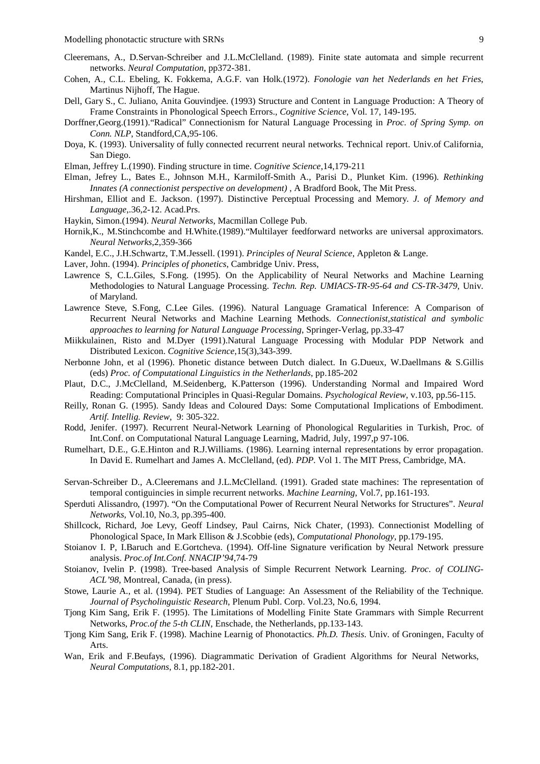- Cleeremans, A., D.Servan-Schreiber and J.L.McClelland. (1989). Finite state automata and simple recurrent networks. *Neural Computation*, pp372-381.
- Cohen, A., C.L. Ebeling, K. Fokkema, A.G.F. van Holk*.*(1972). *Fonologie van het Nederlands en het Fries*, Martinus Nijhoff, The Hague.
- Dell, Gary S., C. Juliano, Anita Gouvindjee. (1993) Structure and Content in Language Production: A Theory of Frame Constraints in Phonological Speech Errors., *Cognitive Science*, Vol. 17, 149-195.
- Dorffner,Georg.(1991)."Radical" Connectionism for Natural Language Processing in *Proc. of Spring Symp. on Conn. NLP*, Standford,CA,95-106.
- Doya, K. (1993). Universality of fully connected recurrent neural networks. Technical report. Univ.of California, San Diego.
- Elman, Jeffrey L.(1990). Finding structure in time. *Cognitive Science*,14,179-211
- Elman, Jefrey L., Bates E., Johnson M.H., Karmiloff-Smith A., Parisi D., Plunket Kim. (1996). *Rethinking Innates (A connectionist perspective on development)* , A Bradford Book, The Mit Press.
- Hirshman, Elliot and E. Jackson. (1997). Distinctive Perceptual Processing and Memory. *J. of Memory and Language*,.36,2-12. Acad.Prs.
- Haykin, Simon.(1994). *Neural Networks*, Macmillan College Pub.
- Hornik,K., M.Stinchcombe and H.White.(1989)."Multilayer feedforward networks are universal approximators. *Neural Networks*,2,359-366
- Kandel, E.C., J.H.Schwartz, T.M.Jessell. (1991). *Principles of Neural Science*, Appleton & Lange.

Laver, John. (1994). *Principles of phonetics*, Cambridge Univ. Press,

- Lawrence S, C.L.Giles, S.Fong. (1995). On the Applicability of Neural Networks and Machine Learning Methodologies to Natural Language Processing. *Techn. Rep. UMIACS-TR-95-64 and CS-TR-3479*, Univ. of Maryland.
- Lawrence Steve, S.Fong, C.Lee Giles. (1996). Natural Language Gramatical Inference: A Comparison of Recurrent Neural Networks and Machine Learning Methods. *Connectionist,statistical and symbolic approaches to learning for Natural Language Processing*, Springer-Verlag, pp.33-47
- Miikkulainen, Risto and M.Dyer (1991).Natural Language Processing with Modular PDP Network and Distributed Lexicon. *Cognitive Science*,15(3),343-399.
- Nerbonne John, et al (1996). Phonetic distance between Dutch dialect. In G.Dueux, W.Daellmans & S.Gillis (eds) *Proc. of Computational Linguistics in the Netherlands*, pp.185-202
- Plaut, D.C., J.McClelland, M.Seidenberg, K.Patterson (1996). Understanding Normal and Impaired Word Reading: Computational Principles in Quasi-Regular Domains. *Psychological Review*, v.103, pp.56-115.
- Reilly, Ronan G. (1995). Sandy Ideas and Coloured Days: Some Computational Implications of Embodiment. *Artif. Intellig. Review*, 9: 305-322.
- Rodd, Jenifer. (1997). Recurrent Neural-Network Learning of Phonological Regularities in Turkish, Proc. of Int.Conf. on Computational Natural Language Learning, Madrid, July, 1997,p 97-106.
- Rumelhart, D.E., G.E.Hinton and R.J.Williams. (1986). Learning internal representations by error propagation. In David E. Rumelhart and James A. McClelland, (ed). *PDP.* Vol 1. The MIT Press, Cambridge, MA.
- Servan-Schreiber D., A.Cleeremans and J.L.McClelland. (1991). Graded state machines: The representation of temporal contiguincies in simple recurrent networks. *Machine Learning*, Vol.7, pp.161-193.
- Sperduti Alissandro, (1997). "On the Computational Power of Recurrent Neural Networks for Structures". *Neural Networks*, Vol.10, No.3, pp.395-400.
- Shillcock, Richard, Joe Levy, Geoff Lindsey, Paul Cairns, Nick Chater, (1993). Connectionist Modelling of Phonological Space, In Mark Ellison & J.Scobbie (eds), *Computational Phonology*, pp.179-195.
- Stoianov I. P, I.Baruch and E.Gortcheva. (1994). Off-line Signature verification by Neural Network pressure analysis. *Proc.of Int.Conf. NNACIP'94*,74-79
- Stoianov, Ivelin P. (1998). Tree-based Analysis of Simple Recurrent Network Learning. *Proc. of COLING-ACL'98*, Montreal, Canada, (in press).
- Stowe, Laurie A., et al. (1994). PET Studies of Language: An Assessment of the Reliability of the Technique. *Journal of Psycholinguistic Research*, Plenum Publ. Corp. Vol.23, No.6, 1994.
- Tjong Kim Sang, Erik F. (1995). The Limitations of Modelling Finite State Grammars with Simple Recurrent Networks, *Proc.of the 5-th CLIN*, Enschade, the Netherlands, pp.133-143.
- Tjong Kim Sang, Erik F. (1998). Machine Learnig of Phonotactics. *Ph.D. Thesis*. Univ. of Groningen, Faculty of Arts.
- Wan, Erik and F.Beufays, (1996). Diagrammatic Derivation of Gradient Algorithms for Neural Networks, *Neural Computations*, 8.1, pp.182-201.